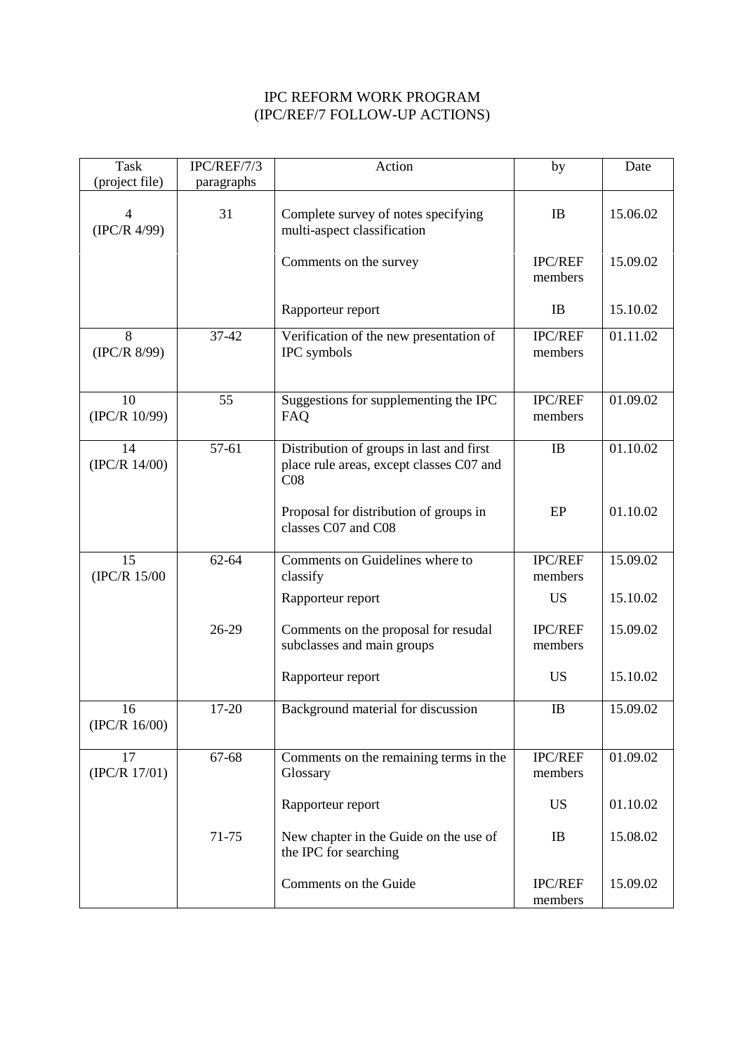## IPC REFORM WORK PROGRAM (IPC/REF/7 FOLLOW-UP ACTIONS)

| Task<br>(project file)         | IPC/REF/7/3<br>paragraphs | Action                                                                                      | by                        | Date     |
|--------------------------------|---------------------------|---------------------------------------------------------------------------------------------|---------------------------|----------|
| $\overline{4}$<br>(IPC/R 4/99) | 31                        | Complete survey of notes specifying<br>multi-aspect classification                          | IB                        | 15.06.02 |
|                                |                           | Comments on the survey                                                                      | <b>IPC/REF</b><br>members | 15.09.02 |
|                                |                           | Rapporteur report                                                                           | IB                        | 15.10.02 |
| 8<br>(IPC/R 8/99)              | $37-42$                   | Verification of the new presentation of<br>IPC symbols                                      | IPC/REF<br>members        | 01.11.02 |
| 10<br>(IPC/R 10/99)            | 55                        | Suggestions for supplementing the IPC<br><b>FAQ</b>                                         | <b>IPC/REF</b><br>members | 01.09.02 |
| 14<br>(IPC/R 14/00)            | 57-61                     | Distribution of groups in last and first<br>place rule areas, except classes C07 and<br>CO8 | IB                        | 01.10.02 |
|                                |                           | Proposal for distribution of groups in<br>classes C07 and C08                               | EP                        | 01.10.02 |
| 15<br>(IPC/R 15/00             | 62-64                     | Comments on Guidelines where to<br>classify                                                 | IPC/REF<br>members        | 15.09.02 |
|                                |                           | Rapporteur report                                                                           | <b>US</b>                 | 15.10.02 |
|                                | 26-29                     | Comments on the proposal for resudal<br>subclasses and main groups                          | <b>IPC/REF</b><br>members | 15.09.02 |
|                                |                           | Rapporteur report                                                                           | <b>US</b>                 | 15.10.02 |
| 16<br>(IPC/R 16/00)            | $17 - 20$                 | Background material for discussion                                                          | IB                        | 15.09.02 |
| 17<br>(IPC/R 17/01)            | 67-68                     | Comments on the remaining terms in the<br>Glossary                                          | <b>IPC/REF</b><br>members | 01.09.02 |
|                                |                           | Rapporteur report                                                                           | <b>US</b>                 | 01.10.02 |
|                                | 71-75                     | New chapter in the Guide on the use of<br>the IPC for searching                             | IB                        | 15.08.02 |
|                                |                           | Comments on the Guide                                                                       | IPC/REF<br>members        | 15.09.02 |